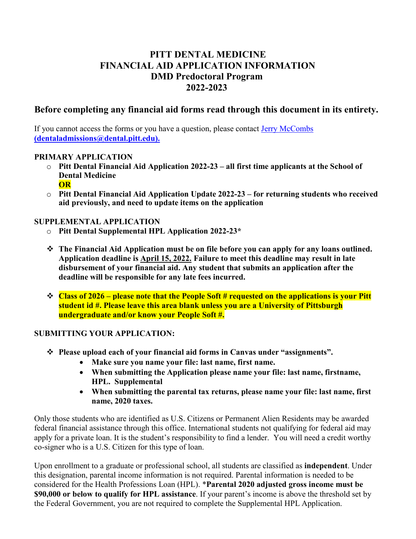# **PITT DENTAL MEDICINE FINANCIAL AID APPLICATION INFORMATION DMD Predoctoral Program 2022-2023**

## **Before completing any financial aid forms read through this document in its entirety.**

If you cannot access the forms or you have a question, please contact [Jerry McCombs](mailto:dentaladmissions@dental.pitt.edu) **(dentaladmissions@dental.pitt.edu).**

#### **PRIMARY APPLICATION**

- o **Pitt Dental Financial Aid Application 2022-23 – all first time applicants at the School of Dental Medicine OR**
- o **Pitt Dental Financial Aid Application Update 2022-23 – for returning students who received aid previously, and need to update items on the application**

#### **SUPPLEMENTAL APPLICATION**

- o **Pitt Dental Supplemental HPL Application 2022-23\***
- **The Financial Aid Application must be on file before you can apply for any loans outlined. Application deadline is April 15, 2022. Failure to meet this deadline may result in late disbursement of your financial aid. Any student that submits an application after the deadline will be responsible for any late fees incurred.**
- **Class of 2026 – please note that the People Soft # requested on the applications is your Pitt student id #. Please leave this area blank unless you are a University of Pittsburgh undergraduate and/or know your People Soft #.**

#### **SUBMITTING YOUR APPLICATION:**

- **Please upload each of your financial aid forms in Canvas under "assignments".**
	- **Make sure you name your file: last name, first name.**
	- **When submitting the Application please name your file: last name, firstname, HPL. Supplemental**
	- **When submitting the parental tax returns, please name your file: last name, first name, 2020 taxes.**

Only those students who are identified as U.S. Citizens or Permanent Alien Residents may be awarded federal financial assistance through this office. International students not qualifying for federal aid may apply for a private loan. It is the student's responsibility to find a lender. You will need a credit worthy co-signer who is a U.S. Citizen for this type of loan.

Upon enrollment to a graduate or professional school, all students are classified as **independent**. Under this designation, parental income information is not required. Parental information is needed to be considered for the Health Professions Loan (HPL). \***Parental 2020 adjusted gross income must be \$90,000 or below to qualify for HPL assistance**. If your parent's income is above the threshold set by the Federal Government, you are not required to complete the Supplemental HPL Application.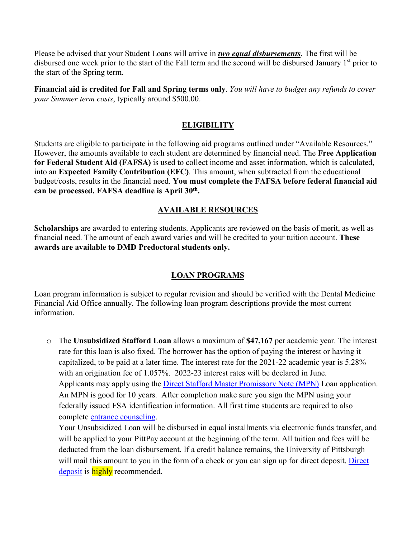Please be advised that your Student Loans will arrive in *two equal disbursements*. The first will be disbursed one week prior to the start of the Fall term and the second will be disbursed January 1<sup>st</sup> prior to the start of the Spring term.

**Financial aid is credited for Fall and Spring terms only**. *You will have to budget any refunds to cover your Summer term costs*, typically around \$500.00.

### **ELIGIBILITY**

Students are eligible to participate in the following aid programs outlined under "Available Resources." However, the amounts available to each student are determined by financial need. The **Free Application for Federal Student Aid (FAFSA)** is used to collect income and asset information, which is calculated, into an **Expected Family Contribution (EFC)**. This amount, when subtracted from the educational budget/costs, results in the financial need. **You must complete the FAFSA before federal financial aid can be processed. FAFSA deadline is April 30th.**

## **AVAILABLE RESOURCES**

**Scholarships** are awarded to entering students. Applicants are reviewed on the basis of merit, as well as financial need. The amount of each award varies and will be credited to your tuition account. **These awards are available to DMD Predoctoral students only.**

## **LOAN PROGRAMS**

Loan program information is subject to regular revision and should be verified with the Dental Medicine Financial Aid Office annually. The following loan program descriptions provide the most current information.

o The **Unsubsidized Stafford Loan** allows a maximum of **\$47,167** per academic year. The interest rate for this loan is also fixed. The borrower has the option of paying the interest or having it capitalized, to be paid at a later time. The interest rate for the 2021-22 academic year is 5.28% with an origination fee of 1.057%. 2022-23 interest rates will be declared in June. Applicants may apply using the Direct Stafford Master [Promissory](https://studentaid.gov/mpn/grad/landing) Note (MPN) Loan application. An MPN is good for 10 years. After completion make sure you sign the MPN using your federally issued FSA identification information. All first time students are required to also complete entrance [counseling.](https://studentaid.gov/app/counselingInstructions.action?counselingType=entrance)

Your Unsubsidized Loan will be disbursed in equal installments via electronic funds transfer, and will be applied to your PittPay account at the beginning of the term. All tuition and fees will be deducted from the loan disbursement. If a credit balance remains, the University of Pittsburgh will mail this amount to you in the form of a check or you can sign up for direct deposit. [Direct](https://payments.pitt.edu/about_refunds/) [deposit](https://payments.pitt.edu/about_refunds/) is **highly** recommended.